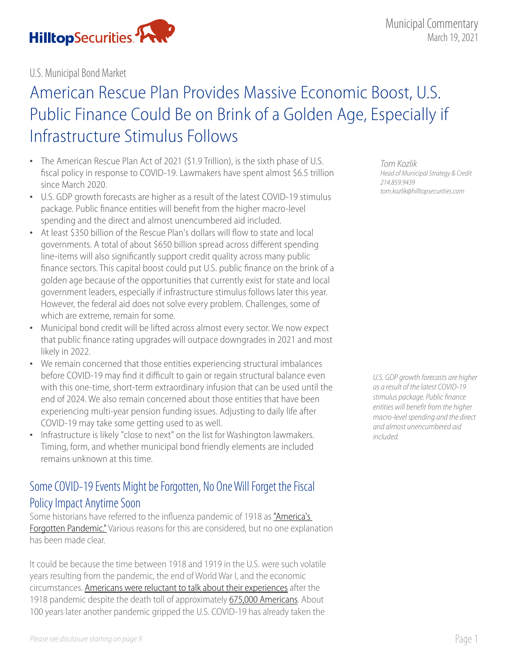

U.S. Municipal Bond Market

# American Rescue Plan Provides Massive Economic Boost, U.S. Public Finance Could Be on Brink of a Golden Age, Especially if Infrastructure Stimulus Follows

- The American Rescue Plan Act of 2021 (\$1.9 Trillion), is the sixth phase of U.S. fiscal policy in response to COVID-19. Lawmakers have spent almost \$6.5 trillion since March 2020.
- U.S. GDP growth forecasts are higher as a result of the latest COVID-19 stimulus package. Public finance entities will benefit from the higher macro-level spending and the direct and almost unencumbered aid included.
- At least \$350 billion of the Rescue Plan's dollars will flow to state and local governments. A total of about \$650 billion spread across different spending line-items will also significantly support credit quality across many public finance sectors. This capital boost could put U.S. public finance on the brink of a golden age because of the opportunities that currently exist for state and local government leaders, especially if infrastructure stimulus follows later this year. However, the federal aid does not solve every problem. Challenges, some of which are extreme, remain for some.
- Municipal bond credit will be lifted across almost every sector. We now expect that public finance rating upgrades will outpace downgrades in 2021 and most likely in 2022.
- We remain concerned that those entities experiencing structural imbalances before COVID-19 may find it difficult to gain or regain structural balance even with this one-time, short-term extraordinary infusion that can be used until the end of 2024. We also remain concerned about those entities that have been experiencing multi-year pension funding issues. Adjusting to daily life after COVID-19 may take some getting used to as well.
- Infrastructure is likely "close to next" on the list for Washington lawmakers. Timing, form, and whether municipal bond friendly elements are included remains unknown at this time.

# Some COVID-19 Events Might be Forgotten, No One Will Forget the Fiscal Policy Impact Anytime Soon

Some historians have referred to the influenza pandemic of 1918 as ["America's](https://www.amazon.com/Americas-Forgotten-Pandemic-Influenza-1918-dp-0521833949/dp/0521833949/ref=mt_other?_encoding=UTF8&me=&qid=)  [Forgotten Pandemic."](https://www.amazon.com/Americas-Forgotten-Pandemic-Influenza-1918-dp-0521833949/dp/0521833949/ref=mt_other?_encoding=UTF8&me=&qid=) Various reasons for this are considered, but no one explanation has been made clear.

It could be because the time between 1918 and 1919 in the U.S. were such volatile years resulting from the pandemic, the end of World War I, and the economic circumstances. [Americans were reluctant to talk about their experiences](https://www.history.com/news/1918-americas-forgotten-pandemic) after the 1918 pandemic despite the death toll of approximately [675,000 Americans](https://www.history.com/topics/world-war-i/1918-flu-pandemic). About 100 years later another pandemic gripped the U.S. COVID-19 has already taken the

*Tom Kozlik Head of Municipal Strategy & Credit 214.859.9439 tom.kozlik@hilltopsecurities.com*

*U.S. GDP growth forecasts are higher as a result of the latest COVID-19 stimulus package. Public finance entities will benefit from the higher macro-level spending and the direct and almost unencumbered aid included.*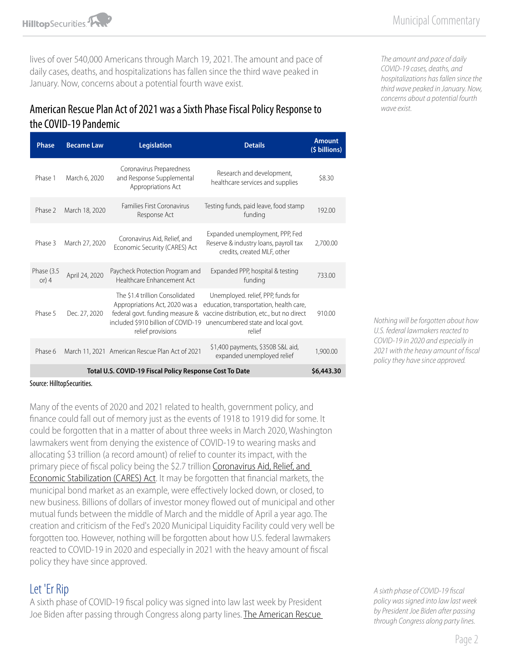**HilltopSecurities** 

lives of over 540,000 Americans through March 19, 2021. The amount and pace of daily cases, deaths, and hospitalizations has fallen since the third wave peaked in January. Now, concerns about a potential fourth wave exist.

### American Rescue Plan Act of 2021 was a Sixth Phase Fiscal Policy Response to the COVID-19 Pandemic

| <b>Phase</b>                                            | <b>Became Law</b> | <b>Legislation</b>                                                                                                                                              | <b>Details</b>                                                                                                                                                             | <b>Amount</b><br>(\$ billions) |
|---------------------------------------------------------|-------------------|-----------------------------------------------------------------------------------------------------------------------------------------------------------------|----------------------------------------------------------------------------------------------------------------------------------------------------------------------------|--------------------------------|
| Phase 1                                                 | March 6, 2020     | Coronavirus Preparedness<br>and Response Supplemental<br>Appropriations Act                                                                                     | Research and development,<br>healthcare services and supplies                                                                                                              | \$8.30                         |
| Phase 2                                                 | March 18, 2020    | Families First Coronavirus<br>Response Act                                                                                                                      | Testing funds, paid leave, food stamp<br>funding                                                                                                                           | 192.00                         |
| Phase 3                                                 | March 27, 2020    | Coronavirus Aid, Relief, and<br>Economic Security (CARES) Act                                                                                                   | Expanded unemployment, PPP, Fed<br>Reserve & industry loans, payroll tax<br>credits, created MLF, other                                                                    | 2,700.00                       |
| Phase (3.5<br>or) $4$                                   | April 24, 2020    | Paycheck Protection Program and<br>Healthcare Enhancement Act                                                                                                   | Expanded PPP, hospital & testing<br>funding                                                                                                                                | 733.00                         |
| Phase 5                                                 | Dec. 27, 2020     | The \$1.4 trillion Consolidated<br>Appropriations Act, 2020 was a<br>federal govt. funding measure &<br>included \$910 billion of COVID-19<br>relief provisions | Unemployed. relief, PPP, funds for<br>education, transportation, health care,<br>vaccine distribution, etc., but no direct<br>unencumbered state and local govt.<br>relief | 910.00                         |
| Phase 6                                                 |                   | March 11, 2021 American Rescue Plan Act of 2021                                                                                                                 | \$1,400 payments, \$350B S&L aid,<br>expanded unemployed relief                                                                                                            | 1.900.00                       |
| Total U.S. COVID-19 Fiscal Policy Response Cost To Date |                   |                                                                                                                                                                 |                                                                                                                                                                            |                                |

*The amount and pace of daily COVID-19 cases, deaths, and hospitalizations has fallen since the third wave peaked in January. Now, concerns about a potential fourth wave exist.*

Source: HilltopSecurities.

Many of the events of 2020 and 2021 related to health, government policy, and finance could fall out of memory just as the events of 1918 to 1919 did for some. It could be forgotten that in a matter of about three weeks in March 2020, Washington lawmakers went from denying the existence of COVID-19 to wearing masks and allocating \$3 trillion (a record amount) of relief to counter its impact, with the primary piece of fiscal policy being the \$2.7 trillion Coronavirus Aid, Relief, and [Economic Stabilization \(CARES\) Act](https://www.hilltopsecurities.com/media/3602/municipal-commentary_32520-3.pdf). It may be forgotten that financial markets, the municipal bond market as an example, were effectively locked down, or closed, to new business. Billions of dollars of investor money flowed out of municipal and other mutual funds between the middle of March and the middle of April a year ago. The creation and criticism of the Fed's 2020 Municipal Liquidity Facility could very well be forgotten too. However, nothing will be forgotten about how U.S. federal lawmakers reacted to COVID-19 in 2020 and especially in 2021 with the heavy amount of fiscal policy they have since approved.

### Let 'Er Rip

A sixth phase of COVID-19 fiscal policy was signed into law last week by President Joe Biden after passing through Congress along party lines. The American Rescue *Nothing will be forgotten about how U.S. federal lawmakers reacted to COVID-19 in 2020 and especially in 2021 with the heavy amount of fiscal policy they have since approved.*

*A sixth phase of COVID-19 fiscal policy was signed into law last week by President Joe Biden after passing through Congress along party lines.*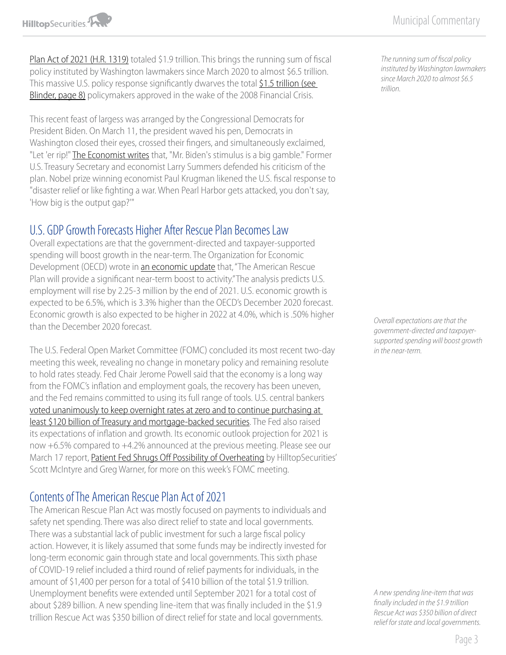[Plan Act of 2021 \(H.R. 1319\)](https://www.congress.gov/bill/117th-congress/house-bill/1319/text#toc-H65C66E46488F4CB6ACD99E77DF090885) totaled \$1.9 trillion. This brings the running sum of fiscal policy instituted by Washington lawmakers since March 2020 to almost \$6.5 trillion. This massive U.S. policy response significantly dwarves the total \$1.5 trillion (see [Blinder, page 8\)](https://www.congress.gov/bill/117th-congress/house-bill/1319/text#toc-H65C66E46488F4CB6ACD99E77DF090885) policymakers approved in the wake of the 2008 Financial Crisis.

This recent feast of largess was arranged by the Congressional Democrats for President Biden. On March 11, the president waved his pen, Democrats in Washington closed their eyes, crossed their fingers, and simultaneously exclaimed, "Let 'er rip!" [The Economist writes](https://www.economist.com/leaders/2021/03/13/joe-bidens-stimulus-is-a-high-stakes-gamble-for-america-and-the-world) that, "Mr. Biden's stimulus is a big gamble." Former U.S. Treasury Secretary and economist Larry Summers defended his criticism of the plan. Nobel prize winning economist Paul Krugman likened the U.S. fiscal response to "disaster relief or like fighting a war. When Pearl Harbor gets attacked, you don't say, 'How big is the output gap?'"

### U.S. GDP Growth Forecasts Higher After Rescue Plan Becomes Law

Overall expectations are that the government-directed and taxpayer-supported spending will boost growth in the near-term. The Organization for Economic Development (OECD) wrote in [an economic update](https://www.oecd-ilibrary.org/docserver/34bfd999-en.pdf?expires=1615949237&id=id&accname=guest&checksum=EB99DE165CCDAC2D63626AF7328D3113) that, "The American Rescue Plan will provide a significant near-term boost to activity." The analysis predicts U.S. employment will rise by 2.25-3 million by the end of 2021. U.S. economic growth is expected to be 6.5%, which is 3.3% higher than the OECD's December 2020 forecast. Economic growth is also expected to be higher in 2022 at 4.0%, which is .50% higher than the December 2020 forecast.

The U.S. Federal Open Market Committee (FOMC) concluded its most recent two-day meeting this week, revealing no change in monetary policy and remaining resolute to hold rates steady. Fed Chair Jerome Powell said that the economy is a long way from the FOMC's inflation and employment goals, the recovery has been uneven, and the Fed remains committed to using its full range of tools. U.S. central bankers [voted unanimously to keep overnight rates at zero and to continue purchasing at](https://www.wsj.com/articles/federal-reserve-interest-rates-bond-purchases-march-2021-11615917632)  [least \\$120 billion of Treasury and mortgage-backed securities.](https://www.wsj.com/articles/federal-reserve-interest-rates-bond-purchases-march-2021-11615917632) The Fed also raised its expectations of inflation and growth. Its economic outlook projection for 2021 is now +6.5% compared to +4.2% announced at the previous meeting. Please see our March 17 report, [Patient Fed Shrugs Off Possibility of Overheating](https://www.hilltopsecurities.com/media/4620/economic-commentary_31721.pdf) by HilltopSecurities' Scott McIntyre and Greg Warner, for more on this week's FOMC meeting.

# Contents of The American Rescue Plan Act of 2021

The American Rescue Plan Act was mostly focused on payments to individuals and safety net spending. There was also direct relief to state and local governments. There was a substantial lack of public investment for such a large fiscal policy action. However, it is likely assumed that some funds may be indirectly invested for long-term economic gain through state and local governments. This sixth phase of COVID-19 relief included a third round of relief payments for individuals, in the amount of \$1,400 per person for a total of \$410 billion of the total \$1.9 trillion. Unemployment benefits were extended until September 2021 for a total cost of about \$289 billion. A new spending line-item that was finally included in the \$1.9 trillion Rescue Act was \$350 billion of direct relief for state and local governments.

*The running sum of fiscal policy instituted by Washington lawmakers since March 2020 to almost \$6.5 trillion.*

*Overall expectations are that the government-directed and taxpayersupported spending will boost growth in the near-term.* 

*A new spending line-item that was finally included in the \$1.9 trillion Rescue Act was \$350 billion of direct relief for state and local governments.*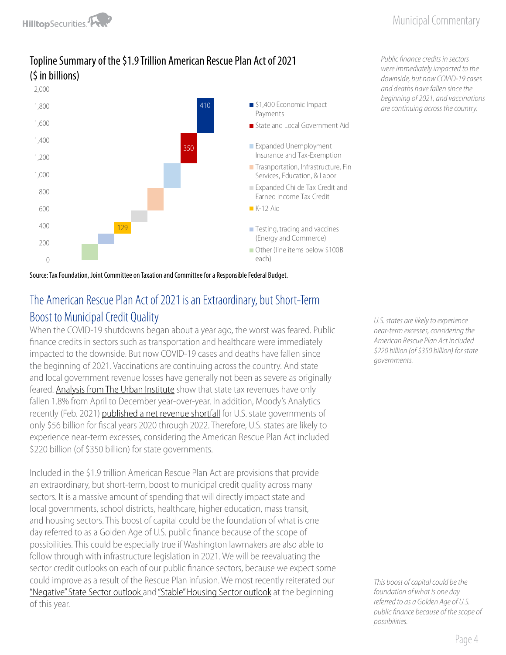

Topline Summary of the \$1.9 Trillion American Rescue Plan Act of 2021 (\$ in billions)

Source: Tax Foundation, Joint Committee on Taxation and Committee for a Responsible Federal Budget.

# The American Rescue Plan Act of 2021 is an Extraordinary, but Short-Term Boost to Municipal Credit Quality

When the COVID-19 shutdowns began about a year ago, the worst was feared. Public finance credits in sectors such as transportation and healthcare were immediately impacted to the downside. But now COVID-19 cases and deaths have fallen since the beginning of 2021. Vaccinations are continuing across the country. And state and local government revenue losses have generally not been as severe as originally feared. [Analysis from The Urban Institute](https://www.urban.org/policy-centers/cross-center-initiatives/state-and-local-finance-initiative/projects/state-tax-and-economic-review) show that state tax revenues have only fallen 1.8% from April to December year-over-year. In addition, Moody's Analytics recently (Feb. 2021) [published a net revenue shortfall](https://www.economy.com/economicview/analysis/383216/StressTesting-States-COVID19A-Year-Later) for U.S. state governments of only \$56 billion for fiscal years 2020 through 2022. Therefore, U.S. states are likely to experience near-term excesses, considering the American Rescue Plan Act included \$220 billion (of \$350 billion) for state governments.

Included in the \$1.9 trillion American Rescue Plan Act are provisions that provide an extraordinary, but short-term, boost to municipal credit quality across many sectors. It is a massive amount of spending that will directly impact state and local governments, school districts, healthcare, higher education, mass transit, and housing sectors. This boost of capital could be the foundation of what is one day referred to as a Golden Age of U.S. public finance because of the scope of possibilities. This could be especially true if Washington lawmakers are also able to follow through with infrastructure legislation in 2021. We will be reevaluating the sector credit outlooks on each of our public finance sectors, because we expect some could improve as a result of the Rescue Plan infusion. We most recently reiterated our ["Negative" State Sector outlook](https://www.hilltopsecurities.com/media/4518/municipal-commentary_2521-v2.pdf) and ["Stable" Housing Sector outlook](https://www.hilltopsecurities.com/media/4453/municipal-commentary_11421-v2.pdf) at the beginning of this year.

*Public finance credits in sectors were immediately impacted to the downside, but now COVID-19 cases and deaths have fallen since the beginning of 2021, and vaccinations are continuing across the country.*

*U.S. states are likely to experience near-term excesses, considering the American Rescue Plan Act included \$220 billion (of \$350 billion) for state governments.* 

*This boost of capital could be the foundation of what is one day referred to as a Golden Age of U.S. public finance because of the scope of possibilities.*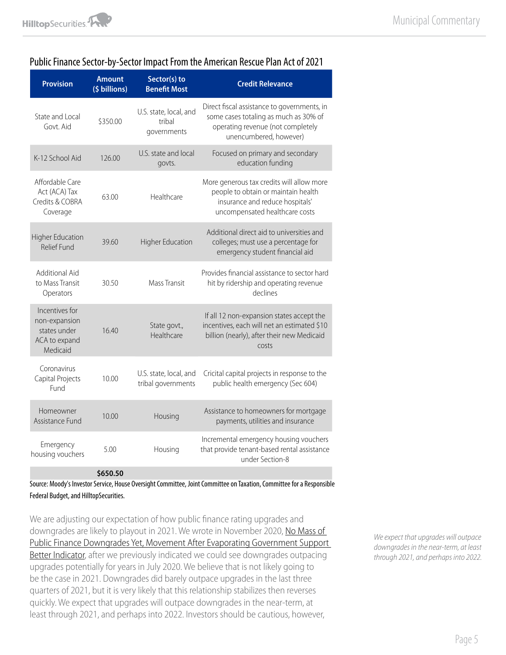#### Public Finance Sector-by-Sector Impact From the American Rescue Plan Act of 2021

| <b>Provision</b>                                                             | <b>Amount</b><br>(\$ billions) | Sector(s) to<br><b>Benefit Most</b>             | <b>Credit Relevance</b>                                                                                                                               |
|------------------------------------------------------------------------------|--------------------------------|-------------------------------------------------|-------------------------------------------------------------------------------------------------------------------------------------------------------|
| State and Local<br>Govt. Aid                                                 | \$350.00                       | U.S. state, local, and<br>tribal<br>governments | Direct fiscal assistance to governments, in<br>some cases totaling as much as 30% of<br>operating revenue (not completely<br>unencumbered, however)   |
| K-12 School Aid                                                              | 126.00                         | U.S. state and local<br>govts.                  | Focused on primary and secondary<br>education funding                                                                                                 |
| Affordable Care<br>Act (ACA) Tax<br>Credits & COBRA<br>Coverage              | 63.00                          | Healthcare                                      | More generous tax credits will allow more<br>people to obtain or maintain health<br>insurance and reduce hospitals'<br>uncompensated healthcare costs |
| <b>Higher Education</b><br><b>Relief Fund</b>                                | 39.60                          | <b>Higher Education</b>                         | Additional direct aid to universities and<br>colleges; must use a percentage for<br>emergency student financial aid                                   |
| <b>Additional Aid</b><br>to Mass Transit<br>Operators                        | 30.50                          | Mass Transit                                    | Provides financial assistance to sector hard<br>hit by ridership and operating revenue<br>declines                                                    |
| Incentives for<br>non-expansion<br>states under<br>ACA to expand<br>Medicaid | 16.40                          | State govt.,<br>Healthcare                      | If all 12 non-expansion states accept the<br>incentives, each will net an estimated \$10<br>billion (nearly), after their new Medicaid<br>costs       |
| Coronavirus<br>Capital Projects<br>Fund                                      | 10.00                          | U.S. state, local, and<br>tribal governments    | Cricital capital projects in response to the<br>public health emergency (Sec 604)                                                                     |
| Homeowner<br>Assistance Fund                                                 | 10.00                          | Housing                                         | Assistance to homeowners for mortgage<br>payments, utilities and insurance                                                                            |
| Emergency<br>housing vouchers                                                | 5.00                           | Housing                                         | Incremental emergency housing vouchers<br>that provide tenant-based rental assistance<br>under Section-8                                              |
|                                                                              | \$650.50                       |                                                 |                                                                                                                                                       |

Source: Moody's Investor Service, House Oversight Committee, Joint Committee on Taxation, Committee for a Responsible Federal Budget, and HilltopSecurities.

We are adjusting our expectation of how public finance rating upgrades and downgrades are likely to playout in 2021. We wrote in November 2020, No Mass of [Public Finance Downgrades Yet, Movement After Evaporating Government Support](https://www.hilltopsecurities.com/media/4283/municipal-commentary_11320.pdf)  [Better Indicator,](https://www.hilltopsecurities.com/media/4283/municipal-commentary_11320.pdf) after we previously indicated we could see downgrades outpacing upgrades potentially for years in July 2020. We believe that is not likely going to be the case in 2021. Downgrades did barely outpace upgrades in the last three quarters of 2021, but it is very likely that this relationship stabilizes then reverses quickly. We expect that upgrades will outpace downgrades in the near-term, at least through 2021, and perhaps into 2022. Investors should be cautious, however,

*We expect that upgrades will outpace downgrades in the near-term, at least through 2021, and perhaps into 2022.*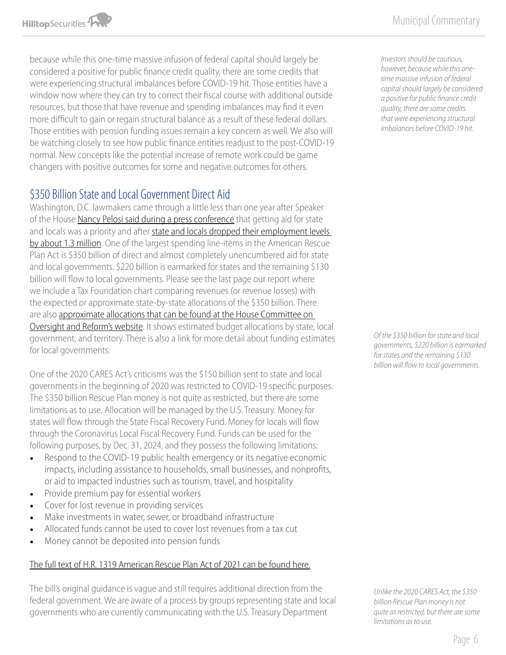because while this one-time massive infusion of federal capital should largely be considered a positive for public finance credit quality, there are some credits that were experiencing structural imbalances before COVID-19 hit. Those entities have a window now where they can try to correct their fiscal course with additional outside resources, but those that have revenue and spending imbalances may find it even more difficult to gain or regain structural balance as a result of these federal dollars. Those entities with pension funding issues remain a key concern as well. We also will be watching closely to see how public finance entities readjust to the post-COVID-19 normal. New concepts like the potential increase of remote work could be game changers with positive outcomes for some and negative outcomes for others.

## \$350 Billion State and Local Government Direct Aid

Washington, D.C. lawmakers came through a little less than one year after Speaker of the House [Nancy Pelosi said during a press conference](https://www.hilltopsecurities.com/media/3608/municipal-commentary_32620.pdf) that getting aid for state and locals was a priority and after state and locals dropped their employment levels [by about 1.3 million.](https://www.hilltopsecurities.com/media/4524/municipal-commentary_2821.pdf) One of the largest spending line-items in the American Rescue Plan Act is \$350 billion of direct and almost completely unencumbered aid for state and local governments. \$220 billion is earmarked for states and the remaining \$130 billion will flow to local governments. Please see the last page our report where we include a Tax Foundation chart comparing revenues (or revenue losses) with the expected or approximate state-by-state allocations of the \$350 billion. There are also [approximate allocations that can be found at the House Committee on](https://oversight.house.gov/budget-reconciliation)  [Oversight and Reform's website.](https://oversight.house.gov/budget-reconciliation) It shows estimated budget allocations by state, local government, and territory. There is also a link for more detail about funding estimates for local governments.

One of the 2020 CARES Act's criticisms was the \$150 billion sent to state and local governments in the beginning of 2020 was restricted to COVID-19 specific purposes. The \$350 billion Rescue Plan money is not quite as restricted, but there are some limitations as to use. Allocation will be managed by the U.S. Treasury. Money for states will flow through the State Fiscal Recovery Fund. Money for locals will flow through the Coronavirus Local Fiscal Recovery Fund. Funds can be used for the following purposes, by Dec. 31, 2024, and they possess the following limitations:

- Respond to the COVID-19 public health emergency or its negative economic impacts, including assistance to households, small businesses, and nonprofits, or aid to impacted industries such as tourism, travel, and hospitality
- Provide premium pay for essential workers
- Cover for lost revenue in providing services
- Make investments in water, sewer, or broadband infrastructure
- Allocated funds cannot be used to cover lost revenues from a tax cut
- Money cannot be deposited into pension funds

#### [The full text of H.R. 1319 American Rescue Plan Act of 2021 can be found here.](https://www.congress.gov/bill/117th-congress/house-bill/1319/text#toc-HA2014788068F45DFB8DF03D5E72AFEE7)

The bill's original guidance is vague and still requires additional direction from the federal government. We are aware of a process by groups representing state and local governments who are currently communicating with the U.S. Treasury Department

*Investors should be cautious, however, because while this onetime massive infusion of federal capital should largely be considered a positive for public finance credit quality, there are some credits that were experiencing structural imbalances before COVID-19 hit.* 

*Of the \$350 billion for state and local governments, \$220 billion is earmarked for states and the remaining \$130 billion will flow to local governments.* 

*Unlike the 2020 CARES Act, the \$350 billion Rescue Plan money is not quite as restricted, but there are some limitations as to use.*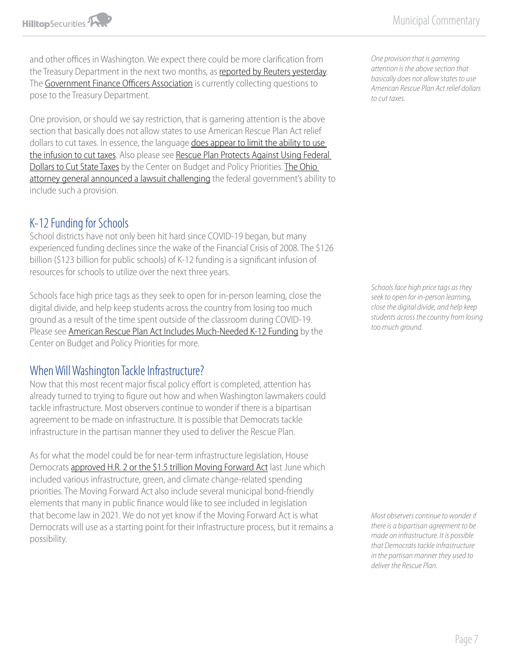and other offices in Washington. We expect there could be more clarification from the Treasury Department in the next two months, as [reported by Reuters yesterday.](https://www.reuters.com/article/us-usa-biden-stimulus-states/u-s-treasury-says-to-finalize-rules-on-state-local-stimulus-payments-within-60-days-idUSKBN2BA2U4) The [Government Finance Officers Association](https://www.gfoa.org/) is currently collecting questions to pose to the Treasury Department.

One provision, or should we say restriction, that is garnering attention is the above section that basically does not allow states to use American Rescue Plan Act relief dollars to cut taxes. In essence, the language does appear to limit the ability to use [the infusion to cut taxes](https://taxfoundation.org/american-rescue-plan-tax-cuts/). Also please see [Rescue Plan Protects Against Using Federal](https://www.cbpp.org/blog/rescue-plan-protects-against-using-federal-dollars-to-cut-state-taxes)  [Dollars to Cut State Taxes](https://www.cbpp.org/blog/rescue-plan-protects-against-using-federal-dollars-to-cut-state-taxes) by the Center on Budget and Policy Priorities. The Ohio [attorney general announced a lawsuit challenging](https://www.washingtonpost.com/us-policy/2021/03/17/stimulus-lawsuit-gop-ohio-attorney-general/) the federal government's ability to include such a provision.

## K-12 Funding for Schools

School districts have not only been hit hard since COVID-19 began, but many experienced funding declines since the wake of the Financial Crisis of 2008. The \$126 billion (\$123 billion for public schools) of K-12 funding is a significant infusion of resources for schools to utilize over the next three years.

Schools face high price tags as they seek to open for in-person learning, close the digital divide, and help keep students across the country from losing too much ground as a result of the time spent outside of the classroom during COVID-19. Please see [American Rescue Plan Act Includes Much-Needed K-12 Funding](https://www.cbpp.org/research/state-budget-and-tax/american-rescue-plan-act-includes-much-needed-k-12-funding) by the Center on Budget and Policy Priorities for more.

### When Will Washington Tackle Infrastructure?

Now that this most recent major fiscal policy effort is completed, attention has already turned to trying to figure out how and when Washington lawmakers could tackle infrastructure. Most observers continue to wonder if there is a bipartisan agreement to be made on infrastructure. It is possible that Democrats tackle infrastructure in the partisan manner they used to deliver the Rescue Plan.

As for what the model could be for near-term infrastructure legislation, House Democrats [approved H.R. 2 or the \\$1.5 trillion Moving Forward Act](https://www.hilltopsecurities.com/media/3844/municipal-commentary_62220.pdf) last June which included various infrastructure, green, and climate change-related spending priorities. The Moving Forward Act also include several municipal bond-friendly elements that many in public finance would like to see included in legislation that become law in 2021. We do not yet know if the Moving Forward Act is what Democrats will use as a starting point for their infrastructure process, but it remains a possibility.

*One provision that is garnering attention is the above section that basically does not allow states to use American Rescue Plan Act relief dollars to cut taxes.* 

*Schools face high price tags as they seek to open for in-person learning, close the digital divide, and help keep students across the country from losing too much ground.*

*Most observers continue to wonder if there is a bipartisan agreement to be made on infrastructure. It is possible that Democrats tackle infrastructure in the partisan manner they used to deliver the Rescue Plan.*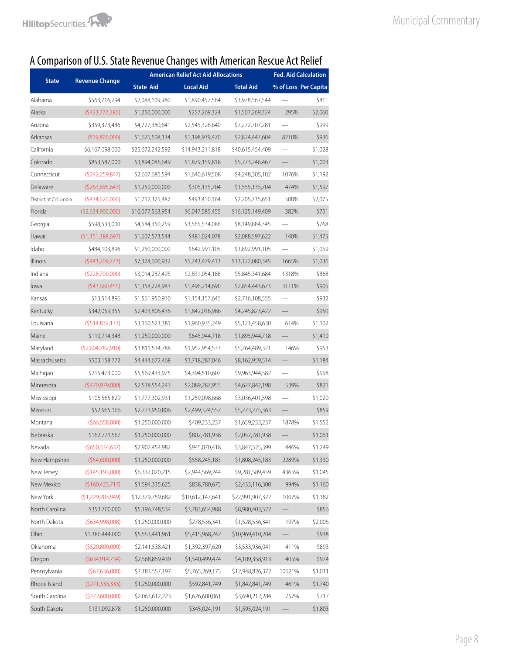# A Comparison of U.S. State Revenue Changes with American Rescue Act Relief

|                      | <b>Revenue Change</b> | <b>American Relief Act Aid Allocations</b> |                  |                  | <b>Fed. Aid Calculation</b> |                      |
|----------------------|-----------------------|--------------------------------------------|------------------|------------------|-----------------------------|----------------------|
| <b>State</b>         |                       | <b>State Aid</b>                           | <b>Local Aid</b> | <b>Total Aid</b> |                             | % of Loss Per Capita |
| Alabama              | \$563,716,794         | \$2,088,109,980                            | \$1,890,457,564  | \$3,978,567,544  |                             | \$811                |
| Alaska               | (\$423,777,385)       | \$1,250,000,000                            | \$257,269,324    | \$1,507,269,324  | 295%                        | \$2,060              |
| Arizona              | \$359,373,486         | \$4,727,380,641                            | \$2,545,326,640  | \$7,272,707,281  |                             | \$999                |
| Arkansas             | (\$19,800,000)        | \$1,625,508,134                            | \$1,198,939,470  | \$2,824,447,604  | 8210%                       | \$936                |
| California           | \$6,167,098,000       | \$25,672,242,592                           | \$14,943,211,818 | \$40,615,454,409 |                             | \$1,028              |
| Colorado             | \$853,587,000         | \$3,894,086,649                            | \$1,879,159,818  | \$5,773,246,467  |                             | \$1,003              |
| Connecticut          | (5242, 259, 847)      | \$2,607,685,594                            | \$1,640,619,508  | \$4,248,305,102  | 1076%                       | \$1,192              |
| Delaware             | (5263, 695, 643)      | \$1,250,000,000                            | \$305,135,704    | \$1,555,135,704  | 474%                        | \$1,597              |
| District of Columbia | (5434,620,000)        | \$1,712,325,487                            | \$493,410,164    | \$2,205,735,651  | 508%                        | \$2,075              |
| Florida              | (\$2,634,900,000)     | \$10,077,563,954                           | \$6,047,585,455  | \$16,125,149,409 | 382%                        | \$751                |
| Georgia              | \$598,533,000         | \$4,584,350,259                            | \$3,565,534,086  | \$8,149,884,345  |                             | \$768                |
| Hawaii               | (51, 151, 388, 697)   | \$1,607,573,544                            | \$481,024,078    | \$2,088,597,622  | 140%                        | \$1,475              |
| Idaho                | \$484,103,896         | \$1,250,000,000                            | \$642,991,105    | \$1,892,991,105  |                             | \$1,059              |
| Illinois             | (5443, 209, 773)      | \$7,378,600,932                            | \$5,743,479,413  | \$13,122,080,345 | 1665%                       | \$1,036              |
| Indiana              | (5228,700,000)        | \$3,014,287,495                            | \$2,831,054,188  | \$5,845,341,684  | 1318%                       | \$868                |
| lowa                 | $($ \$43,660,455)     | \$1,358,228,983                            | \$1,496,214,690  | \$2,854,443,673  | 3111%                       | \$905                |
| Kansas               | \$13,514,896          | \$1,561,950,910                            | \$1,154,157,645  | \$2,716,108,555  |                             | \$932                |
| Kentucky             | \$342,059,355         | \$2,403,806,436                            | \$1,842,016,986  | \$4,245,823,422  |                             | \$950                |
| Louisiana            | (5514, 832, 133)      | \$3,160,523,381                            | \$1,960,935,249  | \$5,121,458,630  | 614%                        | \$1,102              |
| Maine                | \$110,714,348         | \$1,250,000,000                            | \$645,944,718    | \$1,895,944,718  |                             | \$1,410              |
| Maryland             | (52,604,782,910)      | \$3,811,534,788                            | \$1,952,954,533  | \$5,764,489,321  | 146%                        | \$953                |
| Massachusetts        | \$503,158,772         | \$4,444,672,468                            | \$3,718,287,046  | \$8,162,959,514  |                             | \$1,184              |
| Michigan             | \$215,473,000         | \$5,569,433,975                            | \$4,394,510,607  | \$9,963,944,582  |                             | \$998                |
| Minnesota            | $($ \$470,979,000)    | \$2,538,554,243                            | \$2,089,287,955  | \$4,627,842,198  | 539%                        | \$821                |
| Mississippi          | \$106,565,829         | \$1,777,302,931                            | \$1,259,098,668  | \$3,036,401,598  |                             | \$1,020              |
| Missouri             | \$52,965,166          | \$2,773,950,806                            | \$2,499,324,557  | \$5,273,275,363  |                             | \$859                |
| Montana              | (566, 558, 000)       | \$1,250,000,000                            | \$409,233,237    | \$1,659,233,237  | 1878%                       | \$1,552              |
| Nebraska             | \$162,771,567         | \$1,250,000,000                            | \$802,781,938    | \$2,052,781,938  |                             | \$1,061              |
| Nevada               | (5650, 334, 637)      | \$2,902,454,982                            | \$945,070,418    | \$3,847,525,399  | 446%                        | \$1,249              |
| New Hampshire        | (554,600,000)         | \$1,250,000,000                            | \$558,245,183    | \$1,808,245,183  | 2289%                       | \$1,330              |
| New Jersey           | (\$145,193,000)       | \$6,337,020,215                            | \$2,944,569,244  | \$9,281,589,459  | 4365%                       | \$1,045              |
| New Mexico           | (\$160,423,717)       | \$1,594,335,625                            | \$838,780,675    | \$2,433,116,300  | 994%                        | \$1,160              |
| New York             | (51, 229, 203, 949)   | \$12,379,759,682                           | \$10,612,147,641 | \$22,991,907,322 | 1007%                       | \$1,182              |
| North Carolina       | \$353,700,000         | \$5,196,748,534                            | \$3,783,654,988  | \$8,980,403,522  |                             | \$856                |
| North Dakota         | (5634,998,008)        | \$1,250,000,000                            | \$278,536,341    | \$1,528,536,341  | 197%                        | \$2,006              |
| Ohio                 | \$1,386,444,000       | \$5,553,441,961                            | \$5,415,968,242  | \$10,969,410,204 |                             | \$938                |
| Oklahoma             | (5520,800,000)        | \$2,141,538,421                            | \$1,392,397,620  | \$3,533,936,041  | 411%                        | \$893                |
| Oregon               | (5634, 914, 734)      | \$2,568,859,439                            | \$1,540,499,474  | \$4,109,358,913  | 405%                        | \$974                |
| Pennsylvania         | (567, 636, 000)       | \$7,183,557,197                            | \$5,765,269,175  | \$12,948,826,372 | 10621%                      | \$1,011              |
| Rhode Island         | (5271, 333, 333)      | \$1,250,000,000                            | \$592,841,749    | \$1,842,841,749  | 461%                        | \$1,740              |
| South Carolina       | (5272,600,000)        | \$2,063,612,223                            | \$1,626,600,061  | \$3,690,212,284  | 757%                        | \$717                |
| South Dakota         | \$131,092,878         | \$1,250,000,000                            | \$345,024,191    | \$1,595,024,191  |                             | \$1,803              |